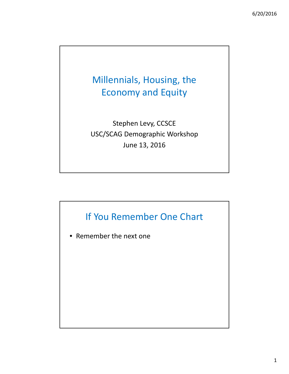# Millennials, Housing, the Economy and Equity

Stephen Levy, CCSCE USC/SCAG Demographic Workshop June 13, 2016

# If You Remember One Chart

• Remember the next one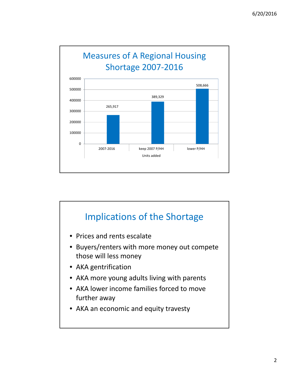

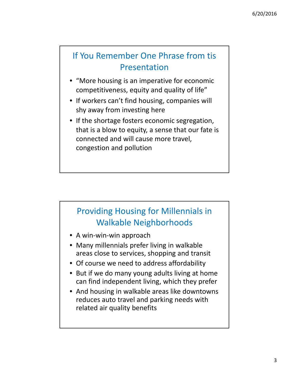## If You Remember One Phrase from tis Presentation

- "More housing is an imperative for economic competitiveness, equity and quality of life"
- If workers can't find housing, companies will shy away from investing here
- If the shortage fosters economic segregation, that is a blow to equity, a sense that our fate is connected and will cause more travel, congestion and pollution

# Providing Housing for Millennials in Walkable Neighborhoods

- A win‐win‐win approach
- Many millennials prefer living in walkable areas close to services, shopping and transit
- Of course we need to address affordability
- But if we do many young adults living at home can find independent living, which they prefer
- And housing in walkable areas like downtowns reduces auto travel and parking needs with related air quality benefits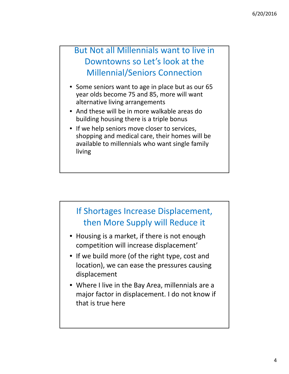## But Not all Millennials want to live in Downtowns so Let's look at the Millennial/Seniors Connection

- Some seniors want to age in place but as our 65 year olds become 75 and 85, more will want alternative living arrangements
- And these will be in more walkable areas do building housing there is a triple bonus
- If we help seniors move closer to services, shopping and medical care, their homes will be available to millennials who want single family living

#### If Shortages Increase Displacement, then More Supply will Reduce it

- Housing is a market, if there is not enough competition will increase displacement'
- If we build more (of the right type, cost and location), we can ease the pressures causing displacement
- Where I live in the Bay Area, millennials are a major factor in displacement. I do not know if that is true here